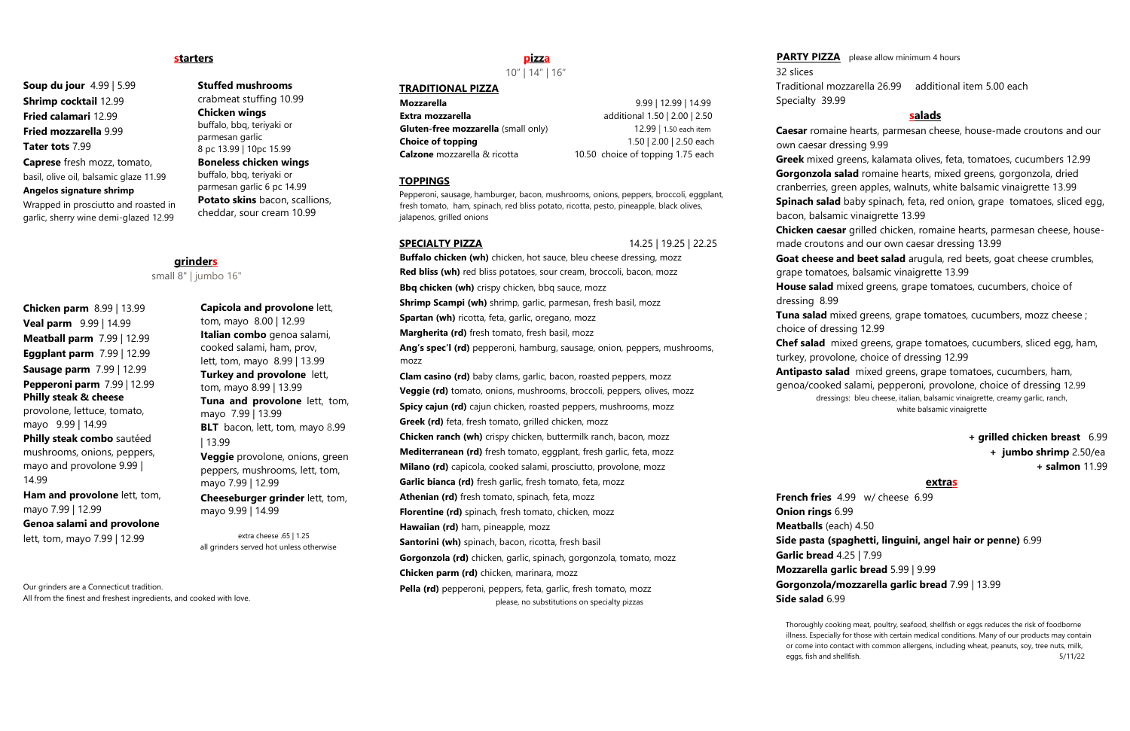### **starters**

**Soup du jour** 4.99 | 5.99 **Shrimp cocktail** 12.99 **Fried calamari** 12.99 **Fried mozzarella** 9.99 **Tater tots** 7.99 **Caprese** fresh mozz, tomato,

basil, olive oil, balsamic glaze 11.99

**Angelos signature shrimp**

Wrapped in prosciutto and roasted in garlic, sherry wine demi-glazed 12.99

**Chicken parm** 8.99 | 13.99 **Veal parm** 9.99 | 14.99 **Meatball parm** 7.99 | 12.99 **Eggplant parm** 7.99 | 12.99 **Sausage parm** 7.99 | 12.99 **Pepperoni parm** 7.99 | 12.99 **Philly steak & cheese** provolone, lettuce, tomato, mayo 9.99 | 14.99 **Philly steak combo** sautéed mushrooms, onions, peppers, mayo and provolone 9.99 | 14.99 **Ham and provolone** lett, tom, **Stuffed mushrooms**

crabmeat stuffing 10.99 **Chicken wings** buffalo, bbq, teriyaki or parmesan garlic 8 pc 13.99 | 10pc 15.99 **Boneless chicken wings** buffalo, bbq, teriyaki or parmesan garlic 6 pc 14.99 **Potato skins** bacon, scallions, cheddar, sour cream 10.99

# **grinders**

### small 8" | jumbo 16"

**Mozzarella** 9.99 | 12.99 | 14.99 **Extra mozzarella additional 1.50 | 2.00 | 2.50 Gluten-free mozzarella** (small only) 12.99 | 1.50 each item **Choice of topping** 1.50 | 2.00 | 2.50 each **Calzone** mozzarella & ricotta 10.50 choice of topping 1.75 each

mayo 7.99 | 12.99 **Genoa salami and provolone** 

lett, tom, mayo 7.99 | 12.99

**Capicola and provolone** lett, tom, mayo 8.00 | 12.99 **Italian combo** genoa salami, cooked salami, ham, prov, lett, tom, mayo 8.99 | 13.99 **Turkey and provolone** lett, tom, mayo 8.99 | 13.99 **Tuna and provolone** lett, tom, mayo 7.99 | 13.99 **BLT** bacon, lett, tom, mayo 8.99 | 13.99 **Veggie** provolone, onions, green peppers, mushrooms, lett, tom, mayo 7.99 | 12.99 **Cheeseburger grinder** lett, tom, mayo 9.99 | 14.99

extra cheese .65 | 1.25 all grinders served hot unless otherwise

Our grinders are a Connecticut tradition. All from the finest and freshest ingredients, and cooked with love.

### **pizza**

10" | 14" | 16"

### **TRADITIONAL PIZZA**

**Buffalo chicken (wh)** chicken, hot sauce, bleu cheese dressing, mozz **Red bliss (wh)** red bliss potatoes, sour cream, broccoli, bacon, mozz **Bbq chicken (wh)** crispy chicken, bbq sauce, mozz **Shrimp Scampi (wh)** shrimp, garlic, parmesan, fresh basil, mozz **Spartan (wh)** ricotta, feta, garlic, oregano, mozz **Margherita (rd)** fresh tomato, fresh basil, mozz **Ang's spec'l (rd)** pepperoni, hamburg, sausage, onion, peppers, mushrooms, mozz **Clam casino (rd)** baby clams, garlic, bacon, roasted peppers, mozz **Veggie (rd)** tomato, onions, mushrooms, broccoli, peppers, olives, mozz **Spicy cajun (rd)** cajun chicken, roasted peppers, mushrooms, mozz **Greek (rd)** feta, fresh tomato, grilled chicken, mozz **Chicken ranch (wh)** crispy chicken, buttermilk ranch, bacon, mozz **Mediterranean (rd)** fresh tomato, eggplant, fresh garlic, feta, mozz **Milano (rd)** capicola, cooked salami, prosciutto, provolone, mozz **Garlic bianca (rd)** fresh garlic, fresh tomato, feta, mozz **Athenian (rd)** fresh tomato, spinach, feta, mozz **Florentine (rd)** spinach, fresh tomato, chicken, mozz **Hawaiian (rd)** ham, pineapple, mozz **Santorini (wh)** spinach, bacon, ricotta, fresh basil **Gorgonzola (rd)** chicken, garlic, spinach, gorgonzola, tomato, mozz **Chicken parm (rd)** chicken, marinara, mozz Pella (rd) pepperoni, peppers, feta, garlic, fresh tomato, mozz please, no substitutions on specialty pizzas

#### **TOPPINGS**

Pepperoni, sausage, hamburger, bacon, mushrooms, onions, peppers, broccoli, eggplant, fresh tomato, ham, spinach, red bliss potato, ricotta, pesto, pineapple, black olives, jalapenos, grilled onions

**SPECIALTY PIZZA** 14.25 | 19.25 | 22.25

Thoroughly cooking meat, poultry, seafood, shellfish or eggs reduces the risk of foodborne illness. Especially for those with certain medical conditions. Many of our products may contain or come into contact with common allergens, including wheat, peanuts, soy, tree nuts, milk, eggs, fish and shellfish. 5/11/22

Traditional mozzarella 26.99 additional item 5.00 each

32 slices Specialty 39.99

### **salads**

**Caesar** romaine hearts, parmesan cheese, house-made croutons and our own caesar dressing 9.99

**Greek** mixed greens, kalamata olives, feta, tomatoes, cucumbers 12.99 **Gorgonzola salad** romaine hearts, mixed greens, gorgonzola, dried

cranberries, green apples, walnuts, white balsamic vinaigrette 13.99

**Spinach salad** baby spinach, feta, red onion, grape tomatoes, sliced egg, bacon, balsamic vinaigrette 13.99

**Chicken caesar** grilled chicken, romaine hearts, parmesan cheese, housemade croutons and our own caesar dressing 13.99

**Goat cheese and beet salad** arugula, red beets, goat cheese crumbles, grape tomatoes, balsamic vinaigrette 13.99

**House salad** mixed greens, grape tomatoes, cucumbers, choice of

**Tuna salad** mixed greens, grape tomatoes, cucumbers, mozz cheese ;

dressing 8.99 choice of dressing 12.99

**Chef salad** mixed greens, grape tomatoes, cucumbers, sliced egg, ham, turkey, provolone, choice of dressing 12.99

**Antipasto salad** mixed greens, grape tomatoes, cucumbers, ham, genoa/cooked salami, pepperoni, provolone, choice of dressing 12.99 dressings: bleu cheese, italian, balsamic vinaigrette, creamy garlic, ranch, white balsamic vinaigrette

> **+ grilled chicken breast** 6.99  **+ jumbo shrimp** 2.50/ea **+ salmon** 11.99

#### **extras**

**Side pasta (spaghetti, linguini, angel hair or penne)** 6.99

**French fries** 4.99 w/ cheese 6.99 **Onion rings** 6.99 **Meatballs** (each) 4.50 **Garlic bread** 4.25 | 7.99 **Mozzarella garlic bread** 5.99 | 9.99 **Side salad** 6.99

**PARTY PIZZA** please allow minimum 4 hours

### **Gorgonzola/mozzarella garlic bread** 7.99 | 13.99